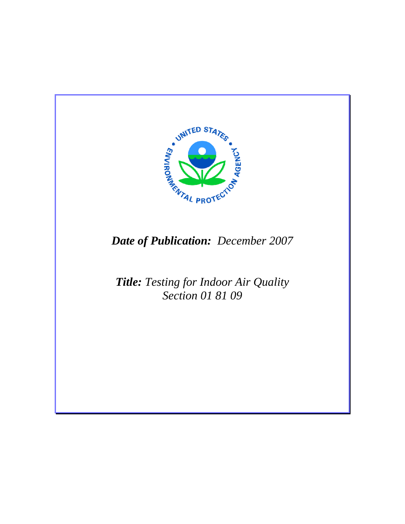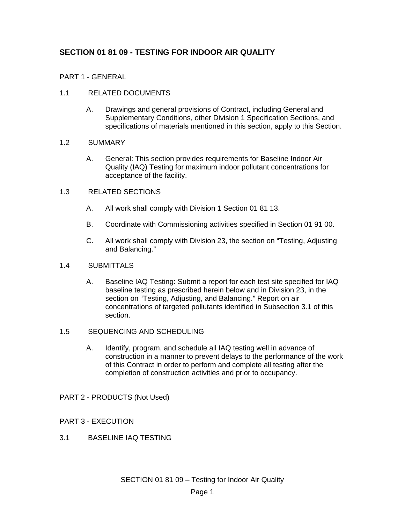# **SECTION 01 81 09 - TESTING FOR INDOOR AIR QUALITY**

# PART 1 - GENERAL

# 1.1 RELATED DOCUMENTS

A. Drawings and general provisions of Contract, including General and Supplementary Conditions, other Division 1 Specification Sections, and specifications of materials mentioned in this section, apply to this Section.

#### 1.2 SUMMARY

A. General: This section provides requirements for Baseline Indoor Air Quality (IAQ) Testing for maximum indoor pollutant concentrations for acceptance of the facility.

## 1.3 RELATED SECTIONS

- A. All work shall comply with Division 1 Section 01 81 13.
- B. Coordinate with Commissioning activities specified in Section 01 91 00.
- C. All work shall comply with Division 23, the section on "Testing, Adjusting and Balancing."

#### 1.4 SUBMITTALS

A. Baseline IAQ Testing: Submit a report for each test site specified for IAQ baseline testing as prescribed herein below and in Division 23, in the section on "Testing, Adjusting, and Balancing." Report on air concentrations of targeted pollutants identified in Subsection 3.1 of this section.

## 1.5 SEQUENCING AND SCHEDULING

A. Identify, program, and schedule all IAQ testing well in advance of construction in a manner to prevent delays to the performance of the work of this Contract in order to perform and complete all testing after the completion of construction activities and prior to occupancy.

## PART 2 - PRODUCTS (Not Used)

- PART 3 EXECUTION
- 3.1 BASELINE IAQ TESTING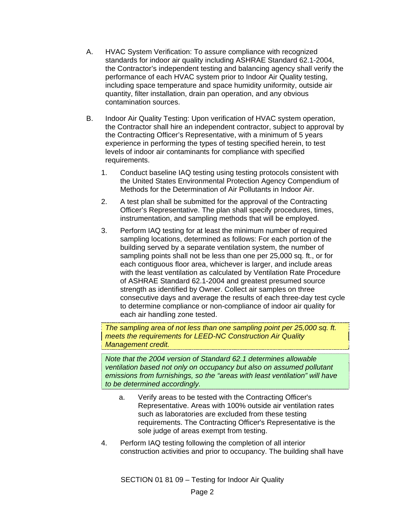- A. HVAC System Verification: To assure compliance with recognized standards for indoor air quality including ASHRAE Standard 62.1-2004, the Contractor's independent testing and balancing agency shall verify the performance of each HVAC system prior to Indoor Air Quality testing, including space temperature and space humidity uniformity, outside air quantity, filter installation, drain pan operation, and any obvious contamination sources.
- B. Indoor Air Quality Testing: Upon verification of HVAC system operation, the Contractor shall hire an independent contractor, subject to approval by the Contracting Officer's Representative, with a minimum of 5 years experience in performing the types of testing specified herein, to test levels of indoor air contaminants for compliance with specified requirements.
	- 1. Conduct baseline IAQ testing using testing protocols consistent with the United States Environmental Protection Agency Compendium of Methods for the Determination of Air Pollutants in Indoor Air.
	- 2. A test plan shall be submitted for the approval of the Contracting Officer's Representative. The plan shall specify procedures, times, instrumentation, and sampling methods that will be employed.
	- 3. Perform IAQ testing for at least the minimum number of required sampling locations, determined as follows: For each portion of the building served by a separate ventilation system, the number of sampling points shall not be less than one per 25,000 sq. ft., or for each contiguous floor area, whichever is larger, and include areas with the least ventilation as calculated by Ventilation Rate Procedure of ASHRAE Standard 62.1-2004 and greatest presumed source strength as identified by Owner. Collect air samples on three consecutive days and average the results of each three-day test cycle to determine compliance or non-compliance of indoor air quality for each air handling zone tested.

*The sampling area of not less than one sampling point per 25,000 sq. ft. meets the requirements for LEED-NC Construction Air Quality Management credit.* 

*Note that the 2004 version of Standard 62.1 determines allowable ventilation based not only on occupancy but also on assumed pollutant emissions from furnishings, so the "areas with least ventilation" will have to be determined accordingly.* 

- a. Verify areas to be tested with the Contracting Officer's Representative. Areas with 100% outside air ventilation rates such as laboratories are excluded from these testing requirements. The Contracting Officer's Representative is the sole judge of areas exempt from testing.
- 4. Perform IAQ testing following the completion of all interior construction activities and prior to occupancy. The building shall have

SECTION 01 81 09 – Testing for Indoor Air Quality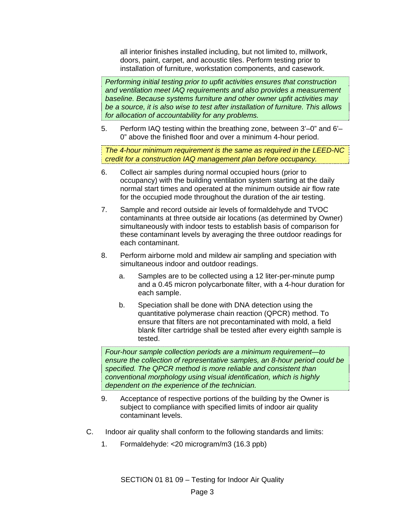all interior finishes installed including, but not limited to, millwork, doors, paint, carpet, and acoustic tiles. Perform testing prior to installation of furniture, workstation components, and casework.

*Performing initial testing prior to upfit activities ensures that construction and ventilation meet IAQ requirements and also provides a measurement baseline. Because systems furniture and other owner upfit activities may be a source, it is also wise to test after installation of furniture. This allows for allocation of accountability for any problems.* 

5. Perform IAQ testing within the breathing zone, between 3'–0" and 6'– 0" above the finished floor and over a minimum 4-hour period.

*The 4-hour minimum requirement is the same as required in the LEED-NC credit for a construction IAQ management plan before occupancy.* 

- 6. Collect air samples during normal occupied hours (prior to occupancy) with the building ventilation system starting at the daily normal start times and operated at the minimum outside air flow rate for the occupied mode throughout the duration of the air testing.
- 7. Sample and record outside air levels of formaldehyde and TVOC contaminants at three outside air locations (as determined by Owner) simultaneously with indoor tests to establish basis of comparison for these contaminant levels by averaging the three outdoor readings for each contaminant.
- 8. Perform airborne mold and mildew air sampling and speciation with simultaneous indoor and outdoor readings.
	- a. Samples are to be collected using a 12 liter-per-minute pump and a 0.45 micron polycarbonate filter, with a 4-hour duration for each sample.
	- b. Speciation shall be done with DNA detection using the quantitative polymerase chain reaction (QPCR) method. To ensure that filters are not precontaminated with mold, a field blank filter cartridge shall be tested after every eighth sample is tested.

*Four-hour sample collection periods are a minimum requirement—to ensure the collection of representative samples, an 8-hour period could be specified. The QPCR method is more reliable and consistent than conventional morphology using visual identification, which is highly dependent on the experience of the technician.* 

- 9. Acceptance of respective portions of the building by the Owner is subject to compliance with specified limits of indoor air quality contaminant levels.
- C. Indoor air quality shall conform to the following standards and limits:
	- 1. Formaldehyde: <20 microgram/m3 (16.3 ppb)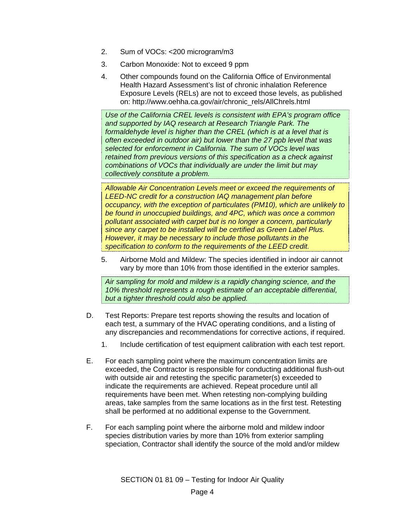- 2. Sum of VOCs: <200 microgram/m3
- 3. Carbon Monoxide: Not to exceed 9 ppm
- 4. Other compounds found on the California Office of Environmental Health Hazard Assessment's list of chronic inhalation Reference Exposure Levels (RELs) are not to exceed those levels, as published on: http://www.oehha.ca.gov/air/chronic\_rels/AllChrels.html

*Use of the California CREL levels is consistent with EPA's program office and supported by IAQ research at Research Triangle Park. The formaldehyde level is higher than the CREL (which is at a level that is often exceeded in outdoor air) but lower than the 27 ppb level that was selected for enforcement in California. The sum of VOCs level was retained from previous versions of this specification as a check against combinations of VOCs that individually are under the limit but may collectively constitute a problem.* 

*Allowable Air Concentration Levels meet or exceed the requirements of LEED-NC credit for a construction IAQ management plan before occupancy, with the exception of particulates (PM10), which are unlikely to be found in unoccupied buildings, and 4PC, which was once a common pollutant associated with carpet but is no longer a concern, particularly since any carpet to be installed will be certified as Green Label Plus. However, it may be necessary to include those pollutants in the specification to conform to the requirements of the LEED credit.* 

5. Airborne Mold and Mildew: The species identified in indoor air cannot vary by more than 10% from those identified in the exterior samples.

*Air sampling for mold and mildew is a rapidly changing science, and the 10% threshold represents a rough estimate of an acceptable differential, but a tighter threshold could also be applied.* 

- D. Test Reports: Prepare test reports showing the results and location of each test, a summary of the HVAC operating conditions, and a listing of any discrepancies and recommendations for corrective actions, if required.
	- 1. Include certification of test equipment calibration with each test report.
- E. For each sampling point where the maximum concentration limits are exceeded, the Contractor is responsible for conducting additional flush-out with outside air and retesting the specific parameter(s) exceeded to indicate the requirements are achieved. Repeat procedure until all requirements have been met. When retesting non-complying building areas, take samples from the same locations as in the first test. Retesting shall be performed at no additional expense to the Government.
- F. For each sampling point where the airborne mold and mildew indoor species distribution varies by more than 10% from exterior sampling speciation, Contractor shall identify the source of the mold and/or mildew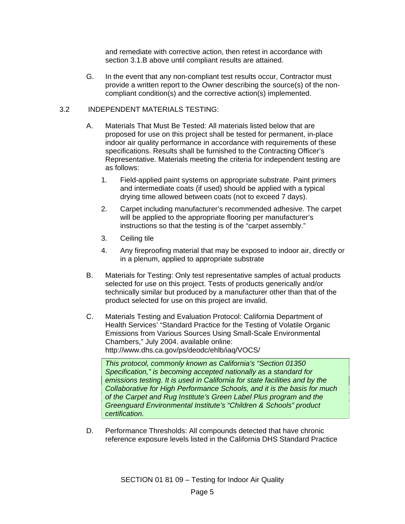and remediate with corrective action, then retest in accordance with section 3.1.B above until compliant results are attained.

G. In the event that any non-compliant test results occur, Contractor must provide a written report to the Owner describing the source(s) of the noncompliant condition(s) and the corrective action(s) implemented.

#### 3.2 INDEPENDENT MATERIALS TESTING:

- A. Materials That Must Be Tested: All materials listed below that are proposed for use on this project shall be tested for permanent, in-place indoor air quality performance in accordance with requirements of these specifications. Results shall be furnished to the Contracting Officer's Representative. Materials meeting the criteria for independent testing are as follows:
	- 1. Field-applied paint systems on appropriate substrate. Paint primers and intermediate coats (if used) should be applied with a typical drying time allowed between coats (not to exceed 7 days).
	- 2. Carpet including manufacturer's recommended adhesive. The carpet will be applied to the appropriate flooring per manufacturer's instructions so that the testing is of the "carpet assembly."
	- 3. Ceiling tile
	- 4. Any fireproofing material that may be exposed to indoor air, directly or in a plenum, applied to appropriate substrate
- B. Materials for Testing: Only test representative samples of actual products selected for use on this project. Tests of products generically and/or technically similar but produced by a manufacturer other than that of the product selected for use on this project are invalid.
- C. Materials Testing and Evaluation Protocol: California Department of Health Services' "Standard Practice for the Testing of Volatile Organic Emissions from Various Sources Using Small-Scale Environmental Chambers," July 2004. available online: http://www.dhs.ca.gov/ps/deodc/ehlb/iaq/VOCS/

*This protocol, commonly known as California's "Section 01350 Specification," is becoming accepted nationally as a standard for emissions testing. It is used in California for state facilities and by the Collaborative for High Performance Schools, and it is the basis for much of the Carpet and Rug Institute's Green Label Plus program and the Greenguard Environmental Institute's "Children & Schools" product certification.* 

D. Performance Thresholds: All compounds detected that have chronic reference exposure levels listed in the California DHS Standard Practice